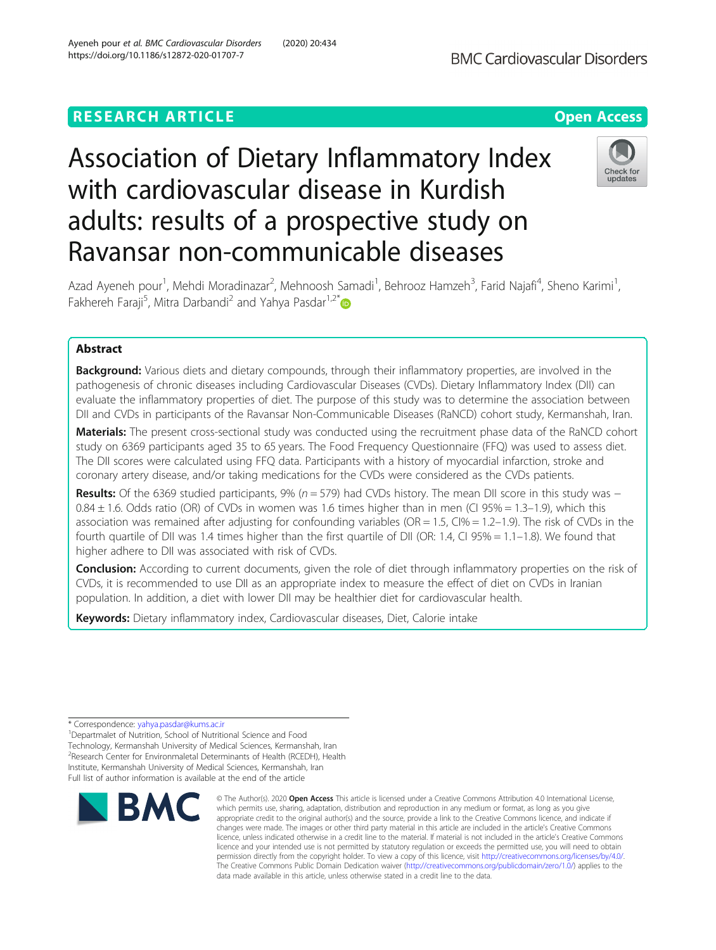## **RESEARCH ARTICLE Example 2014 12:30 The Open Access**

# Association of Dietary Inflammatory Index with cardiovascular disease in Kurdish adults: results of a prospective study on Ravansar non-communicable diseases



Azad Ayeneh pour<sup>1</sup>, Mehdi Moradinazar<sup>2</sup>, Mehnoosh Samadi<sup>1</sup>, Behrooz Hamzeh<sup>3</sup>, Farid Najafi<sup>4</sup>, Sheno Karimi<sup>1</sup> , Fakhereh Faraji<sup>5</sup>, Mitra Darbandi<sup>2</sup> and Yahya Pasdar<sup>1,2[\\*](https://orcid.org/0000-0001-8682-5721)</sup>

## Abstract

**Background:** Various diets and dietary compounds, through their inflammatory properties, are involved in the pathogenesis of chronic diseases including Cardiovascular Diseases (CVDs). Dietary Inflammatory Index (DII) can evaluate the inflammatory properties of diet. The purpose of this study was to determine the association between DII and CVDs in participants of the Ravansar Non-Communicable Diseases (RaNCD) cohort study, Kermanshah, Iran.

Materials: The present cross-sectional study was conducted using the recruitment phase data of the RaNCD cohort study on 6369 participants aged 35 to 65 years. The Food Frequency Questionnaire (FFQ) was used to assess diet. The DII scores were calculated using FFQ data. Participants with a history of myocardial infarction, stroke and coronary artery disease, and/or taking medications for the CVDs were considered as the CVDs patients.

Results: Of the 6369 studied participants, 9% (n = 579) had CVDs history. The mean DII score in this study was −  $0.84 \pm 1.6$ . Odds ratio (OR) of CVDs in women was 1.6 times higher than in men (CI 95% = 1.3–1.9), which this association was remained after adjusting for confounding variables ( $OR = 1.5$ ,  $C\% = 1.2-1.9$ ). The risk of CVDs in the fourth quartile of DII was 1.4 times higher than the first quartile of DII (OR: 1.4, CI 95% = 1.1–1.8). We found that higher adhere to DII was associated with risk of CVDs.

Conclusion: According to current documents, given the role of diet through inflammatory properties on the risk of CVDs, it is recommended to use DII as an appropriate index to measure the effect of diet on CVDs in Iranian population. In addition, a diet with lower DII may be healthier diet for cardiovascular health.

Keywords: Dietary inflammatory index, Cardiovascular diseases, Diet, Calorie intake

\* Correspondence: [yahya.pasdar@kums.ac.ir](mailto:yahya.pasdar@kums.ac.ir) <sup>1</sup>

<sup>&</sup>lt;sup>1</sup>Departmalet of Nutrition, School of Nutritional Science and Food Technology, Kermanshah University of Medical Sciences, Kermanshah, Iran 2 Research Center for Environmaletal Determinants of Health (RCEDH), Health Institute, Kermanshah University of Medical Sciences, Kermanshah, Iran Full list of author information is available at the end of the article



© The Author(s), 2020 **Open Access** This article is licensed under a Creative Commons Attribution 4.0 International License, which permits use, sharing, adaptation, distribution and reproduction in any medium or format, as long as you give appropriate credit to the original author(s) and the source, provide a link to the Creative Commons licence, and indicate if changes were made. The images or other third party material in this article are included in the article's Creative Commons licence, unless indicated otherwise in a credit line to the material. If material is not included in the article's Creative Commons licence and your intended use is not permitted by statutory regulation or exceeds the permitted use, you will need to obtain permission directly from the copyright holder. To view a copy of this licence, visit [http://creativecommons.org/licenses/by/4.0/.](http://creativecommons.org/licenses/by/4.0/) The Creative Commons Public Domain Dedication waiver [\(http://creativecommons.org/publicdomain/zero/1.0/](http://creativecommons.org/publicdomain/zero/1.0/)) applies to the data made available in this article, unless otherwise stated in a credit line to the data.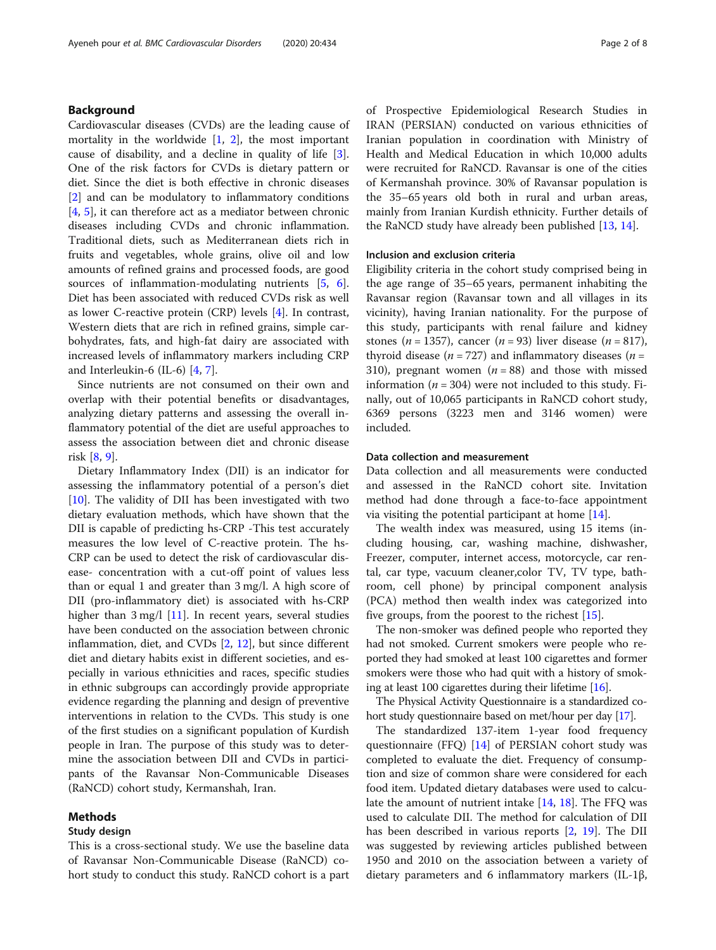## Background

Cardiovascular diseases (CVDs) are the leading cause of mortality in the worldwide  $[1, 2]$  $[1, 2]$  $[1, 2]$  $[1, 2]$ , the most important cause of disability, and a decline in quality of life [\[3](#page-7-0)]. One of the risk factors for CVDs is dietary pattern or diet. Since the diet is both effective in chronic diseases [[2\]](#page-7-0) and can be modulatory to inflammatory conditions [[4,](#page-7-0) [5\]](#page-7-0), it can therefore act as a mediator between chronic diseases including CVDs and chronic inflammation. Traditional diets, such as Mediterranean diets rich in fruits and vegetables, whole grains, olive oil and low amounts of refined grains and processed foods, are good sources of inflammation-modulating nutrients [[5,](#page-7-0) [6](#page-7-0)]. Diet has been associated with reduced CVDs risk as well as lower C-reactive protein (CRP) levels [\[4](#page-7-0)]. In contrast, Western diets that are rich in refined grains, simple carbohydrates, fats, and high-fat dairy are associated with increased levels of inflammatory markers including CRP and Interleukin-6 (IL-6) [[4,](#page-7-0) [7\]](#page-7-0).

Since nutrients are not consumed on their own and overlap with their potential benefits or disadvantages, analyzing dietary patterns and assessing the overall inflammatory potential of the diet are useful approaches to assess the association between diet and chronic disease risk [[8,](#page-7-0) [9\]](#page-7-0).

Dietary Inflammatory Index (DII) is an indicator for assessing the inflammatory potential of a person's diet [[10\]](#page-7-0). The validity of DII has been investigated with two dietary evaluation methods, which have shown that the DII is capable of predicting hs-CRP -This test accurately measures the low level of C-reactive protein. The hs-CRP can be used to detect the risk of cardiovascular disease- concentration with a cut-off point of values less than or equal 1 and greater than 3 mg/l. A high score of DII (pro-inflammatory diet) is associated with hs-CRP higher than  $3 \text{ mg}/1$  [\[11\]](#page-7-0). In recent years, several studies have been conducted on the association between chronic inflammation, diet, and CVDs [[2,](#page-7-0) [12\]](#page-7-0), but since different diet and dietary habits exist in different societies, and especially in various ethnicities and races, specific studies in ethnic subgroups can accordingly provide appropriate evidence regarding the planning and design of preventive interventions in relation to the CVDs. This study is one of the first studies on a significant population of Kurdish people in Iran. The purpose of this study was to determine the association between DII and CVDs in participants of the Ravansar Non-Communicable Diseases (RaNCD) cohort study, Kermanshah, Iran.

## Methods

## Study design

This is a cross-sectional study. We use the baseline data of Ravansar Non-Communicable Disease (RaNCD) cohort study to conduct this study. RaNCD cohort is a part of Prospective Epidemiological Research Studies in IRAN (PERSIAN) conducted on various ethnicities of Iranian population in coordination with Ministry of Health and Medical Education in which 10,000 adults were recruited for RaNCD. Ravansar is one of the cities of Kermanshah province. 30% of Ravansar population is the 35–65 years old both in rural and urban areas, mainly from Iranian Kurdish ethnicity. Further details of the RaNCD study have already been published [\[13](#page-7-0), [14](#page-7-0)].

## Inclusion and exclusion criteria

Eligibility criteria in the cohort study comprised being in the age range of 35–65 years, permanent inhabiting the Ravansar region (Ravansar town and all villages in its vicinity), having Iranian nationality. For the purpose of this study, participants with renal failure and kidney stones (*n* = 1357), cancer (*n* = 93) liver disease (*n* = 817), thyroid disease ( $n = 727$ ) and inflammatory diseases ( $n =$ 310), pregnant women  $(n = 88)$  and those with missed information ( $n = 304$ ) were not included to this study. Finally, out of 10,065 participants in RaNCD cohort study, 6369 persons (3223 men and 3146 women) were included.

## Data collection and measurement

Data collection and all measurements were conducted and assessed in the RaNCD cohort site. Invitation method had done through a face-to-face appointment via visiting the potential participant at home [[14\]](#page-7-0).

The wealth index was measured, using 15 items (including housing, car, washing machine, dishwasher, Freezer, computer, internet access, motorcycle, car rental, car type, vacuum cleaner,color TV, TV type, bathroom, cell phone) by principal component analysis (PCA) method then wealth index was categorized into five groups, from the poorest to the richest [\[15](#page-7-0)].

The non-smoker was defined people who reported they had not smoked. Current smokers were people who reported they had smoked at least 100 cigarettes and former smokers were those who had quit with a history of smoking at least 100 cigarettes during their lifetime [[16](#page-7-0)].

The Physical Activity Questionnaire is a standardized cohort study questionnaire based on met/hour per day [[17](#page-7-0)].

The standardized 137-item 1-year food frequency questionnaire (FFQ)  $[14]$  of PERSIAN cohort study was completed to evaluate the diet. Frequency of consumption and size of common share were considered for each food item. Updated dietary databases were used to calculate the amount of nutrient intake [[14](#page-7-0), [18](#page-7-0)]. The FFQ was used to calculate DII. The method for calculation of DII has been described in various reports [[2,](#page-7-0) [19](#page-7-0)]. The DII was suggested by reviewing articles published between 1950 and 2010 on the association between a variety of dietary parameters and 6 inflammatory markers (IL-1β,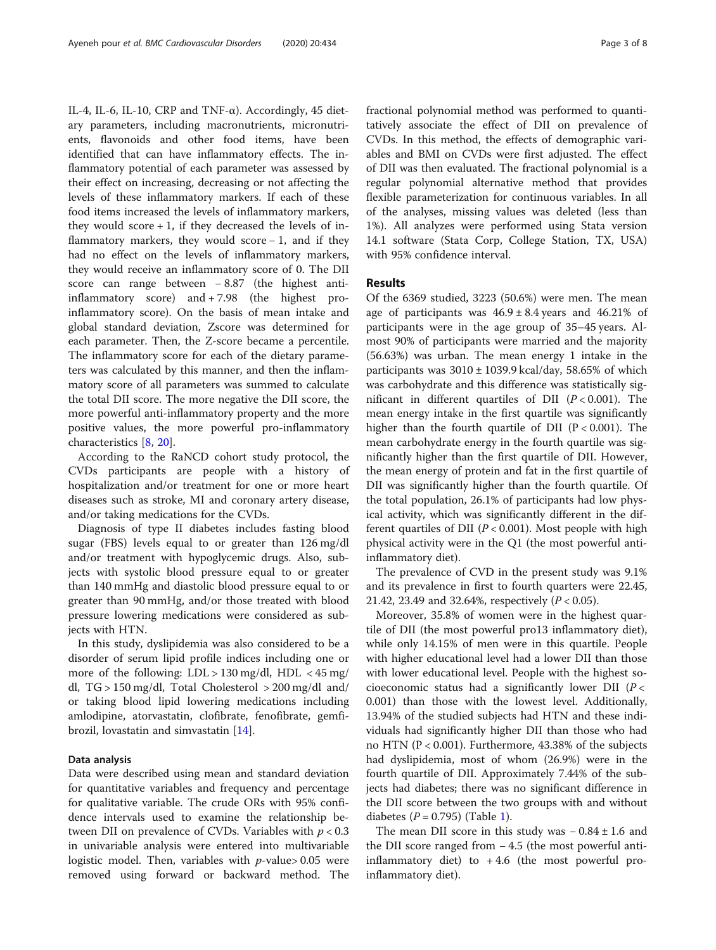IL-4, IL-6, IL-10, CRP and TNF- $\alpha$ ). Accordingly, 45 dietary parameters, including macronutrients, micronutrients, flavonoids and other food items, have been identified that can have inflammatory effects. The inflammatory potential of each parameter was assessed by their effect on increasing, decreasing or not affecting the levels of these inflammatory markers. If each of these food items increased the levels of inflammatory markers, they would  $score + 1$ , if they decreased the levels of inflammatory markers, they would score − 1, and if they had no effect on the levels of inflammatory markers, they would receive an inflammatory score of 0. The DII score can range between − 8.87 (the highest antiinflammatory score) and + 7.98 (the highest proinflammatory score). On the basis of mean intake and global standard deviation, Zscore was determined for each parameter. Then, the Z-score became a percentile. The inflammatory score for each of the dietary parameters was calculated by this manner, and then the inflammatory score of all parameters was summed to calculate the total DII score. The more negative the DII score, the more powerful anti-inflammatory property and the more positive values, the more powerful pro-inflammatory characteristics [[8,](#page-7-0) [20\]](#page-7-0).

According to the RaNCD cohort study protocol, the CVDs participants are people with a history of hospitalization and/or treatment for one or more heart diseases such as stroke, MI and coronary artery disease, and/or taking medications for the CVDs.

Diagnosis of type II diabetes includes fasting blood sugar (FBS) levels equal to or greater than 126 mg/dl and/or treatment with hypoglycemic drugs. Also, subjects with systolic blood pressure equal to or greater than 140 mmHg and diastolic blood pressure equal to or greater than 90 mmHg, and/or those treated with blood pressure lowering medications were considered as subjects with HTN.

In this study, dyslipidemia was also considered to be a disorder of serum lipid profile indices including one or more of the following:  $LDL > 130$  mg/dl,  $HDL < 45$  mg/ dl, TG > 150 mg/dl, Total Cholesterol > 200 mg/dl and/ or taking blood lipid lowering medications including amlodipine, atorvastatin, clofibrate, fenofibrate, gemfibrozil, lovastatin and simvastatin [\[14\]](#page-7-0).

## Data analysis

Data were described using mean and standard deviation for quantitative variables and frequency and percentage for qualitative variable. The crude ORs with 95% confidence intervals used to examine the relationship between DII on prevalence of CVDs. Variables with  $p < 0.3$ in univariable analysis were entered into multivariable logistic model. Then, variables with  $p$ -value > 0.05 were removed using forward or backward method. The fractional polynomial method was performed to quantitatively associate the effect of DII on prevalence of CVDs. In this method, the effects of demographic variables and BMI on CVDs were first adjusted. The effect of DII was then evaluated. The fractional polynomial is a regular polynomial alternative method that provides flexible parameterization for continuous variables. In all of the analyses, missing values was deleted (less than 1%). All analyzes were performed using Stata version 14.1 software (Stata Corp, College Station, TX, USA) with 95% confidence interval.

## Results

Of the 6369 studied, 3223 (50.6%) were men. The mean age of participants was  $46.9 \pm 8.4$  years and  $46.21\%$  of participants were in the age group of 35–45 years. Almost 90% of participants were married and the majority (56.63%) was urban. The mean energy 1 intake in the participants was  $3010 \pm 1039.9$  kcal/day, 58.65% of which was carbohydrate and this difference was statistically significant in different quartiles of DII  $(P < 0.001)$ . The mean energy intake in the first quartile was significantly higher than the fourth quartile of DII ( $P < 0.001$ ). The mean carbohydrate energy in the fourth quartile was significantly higher than the first quartile of DII. However, the mean energy of protein and fat in the first quartile of DII was significantly higher than the fourth quartile. Of the total population, 26.1% of participants had low physical activity, which was significantly different in the different quartiles of DII ( $P < 0.001$ ). Most people with high physical activity were in the Q1 (the most powerful antiinflammatory diet).

The prevalence of CVD in the present study was 9.1% and its prevalence in first to fourth quarters were 22.45, 21.42, 23.49 and 32.64%, respectively (P < 0.05).

Moreover, 35.8% of women were in the highest quartile of DII (the most powerful pro13 inflammatory diet), while only 14.15% of men were in this quartile. People with higher educational level had a lower DII than those with lower educational level. People with the highest socioeconomic status had a significantly lower DII ( $P <$ 0.001) than those with the lowest level. Additionally, 13.94% of the studied subjects had HTN and these individuals had significantly higher DII than those who had no HTN (P < 0.001). Furthermore, 43.38% of the subjects had dyslipidemia, most of whom (26.9%) were in the fourth quartile of DII. Approximately 7.44% of the subjects had diabetes; there was no significant difference in the DII score between the two groups with and without diabetes  $(P = 0.795)$  (Table [1\)](#page-3-0).

The mean DII score in this study was  $-0.84 \pm 1.6$  and the DII score ranged from − 4.5 (the most powerful antiinflammatory diet) to  $+4.6$  (the most powerful proinflammatory diet).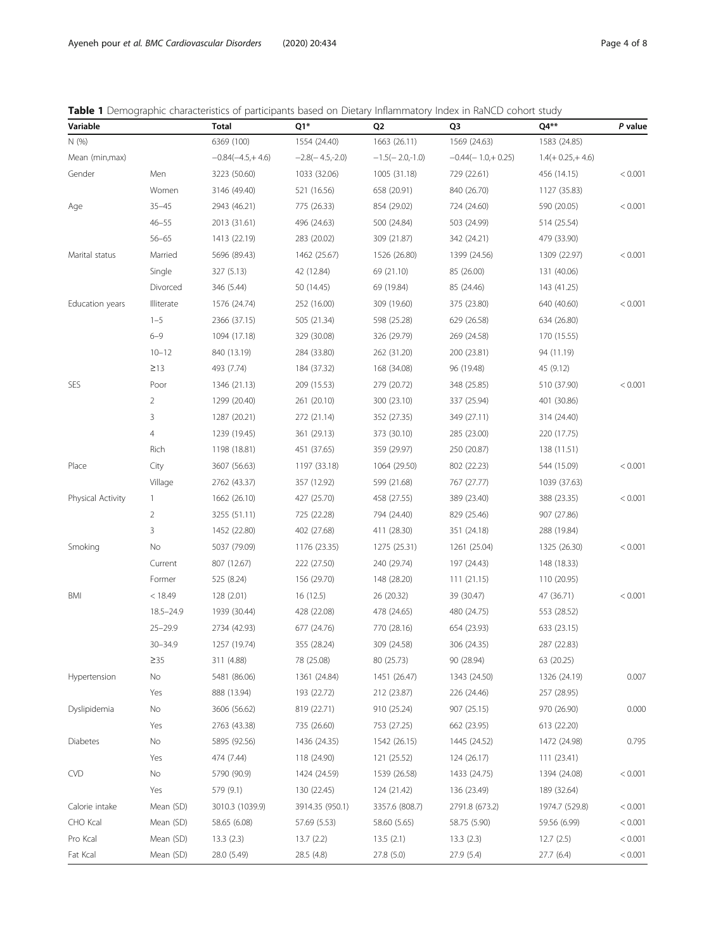<span id="page-3-0"></span>

| <b>Table 1</b> Demographic characteristics of participants based on Dietary Inflammatory Index in RaNCD cohort study |  |  |  |
|----------------------------------------------------------------------------------------------------------------------|--|--|--|
|----------------------------------------------------------------------------------------------------------------------|--|--|--|

| Variable          |               | <b>Total</b>        | Q1*               | Q2                | Q3                   | Q4**                | P value |
|-------------------|---------------|---------------------|-------------------|-------------------|----------------------|---------------------|---------|
| N (%)             |               | 6369 (100)          | 1554 (24.40)      | 1663 (26.11)      | 1569 (24.63)         | 1583 (24.85)        |         |
| Mean (min, max)   |               | $-0.84(-4.5) + 4.6$ | $-2.8(-4.5,-2.0)$ | $-1.5(-2.0,-1.0)$ | $-0.44(-1.0 + 0.25)$ | $1.4(+ 0.25 + 4.6)$ |         |
| Gender            | Men           | 3223 (50.60)        | 1033 (32.06)      | 1005 (31.18)      | 729 (22.61)          | 456 (14.15)         | < 0.001 |
|                   | Women         | 3146 (49.40)        | 521 (16.56)       | 658 (20.91)       | 840 (26.70)          | 1127 (35.83)        |         |
| Age               | $35 - 45$     | 2943 (46.21)        | 775 (26.33)       | 854 (29.02)       | 724 (24.60)          | 590 (20.05)         | < 0.001 |
|                   | $46 - 55$     | 2013 (31.61)        | 496 (24.63)       | 500 (24.84)       | 503 (24.99)          | 514 (25.54)         |         |
|                   | $56 - 65$     | 1413 (22.19)        | 283 (20.02)       | 309 (21.87)       | 342 (24.21)          | 479 (33.90)         |         |
| Marital status    | Married       | 5696 (89.43)        | 1462 (25.67)      | 1526 (26.80)      | 1399 (24.56)         | 1309 (22.97)        | < 0.001 |
|                   | Single        | 327 (5.13)          | 42 (12.84)        | 69 (21.10)        | 85 (26.00)           | 131 (40.06)         |         |
|                   | Divorced      | 346 (5.44)          | 50 (14.45)        | 69 (19.84)        | 85 (24.46)           | 143 (41.25)         |         |
| Education years   | Illiterate    | 1576 (24.74)        | 252 (16.00)       | 309 (19.60)       | 375 (23.80)          | 640 (40.60)         | < 0.001 |
|                   | $1 - 5$       | 2366 (37.15)        | 505 (21.34)       | 598 (25.28)       | 629 (26.58)          | 634 (26.80)         |         |
|                   | $6 - 9$       | 1094 (17.18)        | 329 (30.08)       | 326 (29.79)       | 269 (24.58)          | 170 (15.55)         |         |
|                   | $10 - 12$     | 840 (13.19)         | 284 (33.80)       | 262 (31.20)       | 200 (23.81)          | 94 (11.19)          |         |
|                   | $\geq$ 13     | 493 (7.74)          | 184 (37.32)       | 168 (34.08)       | 96 (19.48)           | 45 (9.12)           |         |
| SES               | Poor          | 1346 (21.13)        | 209 (15.53)       | 279 (20.72)       | 348 (25.85)          | 510 (37.90)         | < 0.001 |
|                   | 2             | 1299 (20.40)        | 261 (20.10)       | 300 (23.10)       | 337 (25.94)          | 401 (30.86)         |         |
|                   | 3             | 1287 (20.21)        | 272 (21.14)       | 352 (27.35)       | 349 (27.11)          | 314 (24.40)         |         |
|                   | 4             | 1239 (19.45)        | 361 (29.13)       | 373 (30.10)       | 285 (23.00)          | 220 (17.75)         |         |
|                   | Rich          | 1198 (18.81)        | 451 (37.65)       | 359 (29.97)       | 250 (20.87)          | 138 (11.51)         |         |
| Place             | City          | 3607 (56.63)        | 1197 (33.18)      | 1064 (29.50)      | 802 (22.23)          | 544 (15.09)         | < 0.001 |
|                   | Village       | 2762 (43.37)        | 357 (12.92)       | 599 (21.68)       | 767 (27.77)          | 1039 (37.63)        |         |
| Physical Activity | 1             | 1662 (26.10)        | 427 (25.70)       | 458 (27.55)       | 389 (23.40)          | 388 (23.35)         | < 0.001 |
|                   | 2             | 3255 (51.11)        | 725 (22.28)       | 794 (24.40)       | 829 (25.46)          | 907 (27.86)         |         |
|                   | 3             | 1452 (22.80)        | 402 (27.68)       | 411 (28.30)       | 351 (24.18)          | 288 (19.84)         |         |
| Smoking           | No            | 5037 (79.09)        | 1176 (23.35)      | 1275 (25.31)      | 1261 (25.04)         | 1325 (26.30)        | < 0.001 |
|                   | Current       | 807 (12.67)         | 222 (27.50)       | 240 (29.74)       | 197 (24.43)          | 148 (18.33)         |         |
|                   | Former        | 525 (8.24)          | 156 (29.70)       | 148 (28.20)       | 111(21.15)           | 110 (20.95)         |         |
| BMI               | < 18.49       | 128 (2.01)          | 16(12.5)          | 26 (20.32)        | 39 (30.47)           | 47 (36.71)          | < 0.001 |
|                   | $18.5 - 24.9$ | 1939 (30.44)        | 428 (22.08)       | 478 (24.65)       | 480 (24.75)          | 553 (28.52)         |         |
|                   | 25-29.9       | 2734 (42.93)        | 677 (24.76)       | 770 (28.16)       | 654 (23.93)          | 633 (23.15)         |         |
|                   | $30 - 34.9$   | 1257 (19.74)        | 355 (28.24)       | 309 (24.58)       | 306 (24.35)          | 287 (22.83)         |         |
|                   | $\geq$ 35     | 311 (4.88)          | 78 (25.08)        | 80 (25.73)        | 90 (28.94)           | 63 (20.25)          |         |
| Hypertension      | Νo            | 5481 (86.06)        | 1361 (24.84)      | 1451 (26.47)      | 1343 (24.50)         | 1326 (24.19)        | 0.007   |
|                   | Yes           | 888 (13.94)         | 193 (22.72)       | 212 (23.87)       | 226 (24.46)          | 257 (28.95)         |         |
| Dyslipidemia      | Νo            | 3606 (56.62)        | 819 (22.71)       | 910 (25.24)       | 907 (25.15)          | 970 (26.90)         | 0.000   |
|                   | Yes           | 2763 (43.38)        | 735 (26.60)       | 753 (27.25)       | 662 (23.95)          | 613 (22.20)         |         |
| Diabetes          | No            | 5895 (92.56)        | 1436 (24.35)      | 1542 (26.15)      | 1445 (24.52)         | 1472 (24.98)        | 0.795   |
|                   | Yes           | 474 (7.44)          | 118 (24.90)       | 121 (25.52)       | 124 (26.17)          | 111 (23.41)         |         |
| <b>CVD</b>        | No            | 5790 (90.9)         | 1424 (24.59)      | 1539 (26.58)      | 1433 (24.75)         | 1394 (24.08)        | < 0.001 |
|                   | Yes           | 579 (9.1)           | 130 (22.45)       | 124 (21.42)       | 136 (23.49)          | 189 (32.64)         |         |
| Calorie intake    | Mean (SD)     | 3010.3 (1039.9)     | 3914.35 (950.1)   | 3357.6 (808.7)    | 2791.8 (673.2)       | 1974.7 (529.8)      | < 0.001 |
| CHO Kcal          | Mean (SD)     | 58.65 (6.08)        | 57.69 (5.53)      | 58.60 (5.65)      | 58.75 (5.90)         | 59.56 (6.99)        | < 0.001 |
| Pro Kcal          | Mean (SD)     | 13.3(2.3)           | 13.7(2.2)         | 13.5(2.1)         | 13.3(2.3)            | 12.7(2.5)           | < 0.001 |
| Fat Kcal          | Mean (SD)     | 28.0 (5.49)         | 28.5 (4.8)        | 27.8 (5.0)        | 27.9 (5.4)           | 27.7 (6.4)          | < 0.001 |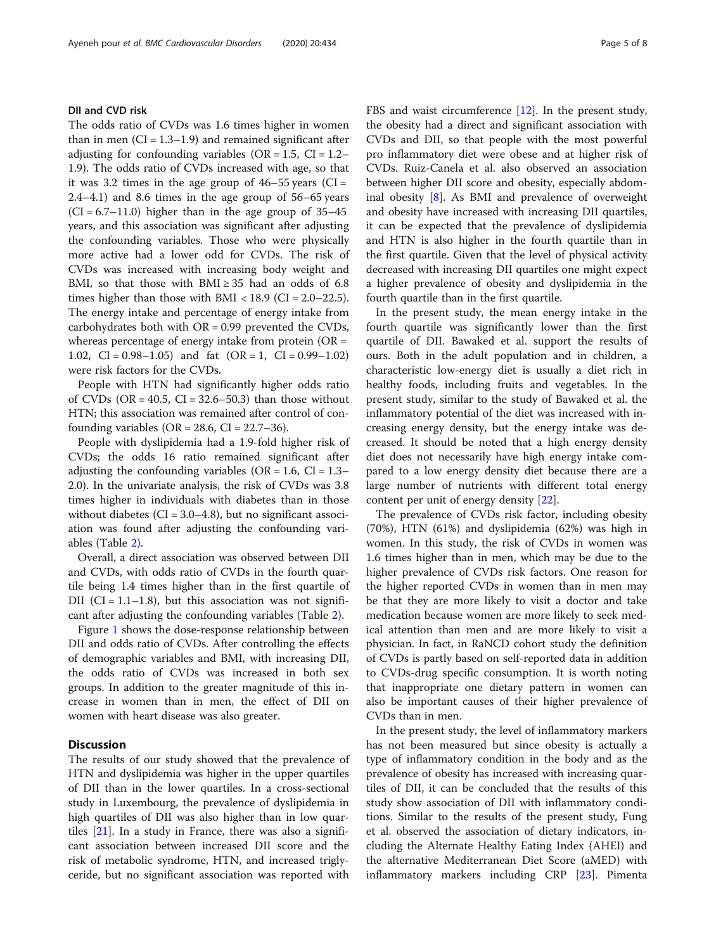## DII and CVD risk

The odds ratio of CVDs was 1.6 times higher in women than in men  $(CI = 1.3-1.9)$  and remained significant after adjusting for confounding variables ( $OR = 1.5$ ,  $CI = 1.2-$ 1.9). The odds ratio of CVDs increased with age, so that it was 3.2 times in the age group of  $46-55$  years (CI = 2.4–4.1) and 8.6 times in the age group of 56–65 years  $(CI = 6.7–11.0)$  higher than in the age group of 35–45 years, and this association was significant after adjusting the confounding variables. Those who were physically more active had a lower odd for CVDs. The risk of CVDs was increased with increasing body weight and BMI, so that those with BMI  $\geq$  35 had an odds of 6.8 times higher than those with BMI <  $18.9$  (CI =  $2.0-22.5$ ). The energy intake and percentage of energy intake from carbohydrates both with  $OR = 0.99$  prevented the CVDs, whereas percentage of energy intake from protein  $(OR =$ 1.02,  $CI = 0.98 - 1.05$  and fat  $(OR = 1, CI = 0.99 - 1.02)$ were risk factors for the CVDs.

People with HTN had significantly higher odds ratio of CVDs ( $OR = 40.5$ ,  $CI = 32.6 - 50.3$ ) than those without HTN; this association was remained after control of confounding variables (OR =  $28.6$ , CI =  $22.7-36$ ).

People with dyslipidemia had a 1.9-fold higher risk of CVDs; the odds 16 ratio remained significant after adjusting the confounding variables ( $OR = 1.6$ ,  $CI = 1.3-$ 2.0). In the univariate analysis, the risk of CVDs was 3.8 times higher in individuals with diabetes than in those without diabetes  $(CI = 3.0-4.8)$ , but no significant association was found after adjusting the confounding variables (Table [2\)](#page-5-0).

Overall, a direct association was observed between DII and CVDs, with odds ratio of CVDs in the fourth quartile being 1.4 times higher than in the first quartile of DII ( $CI = 1.1-1.8$ ), but this association was not significant after adjusting the confounding variables (Table [2](#page-5-0)).

Figure [1](#page-6-0) shows the dose-response relationship between DII and odds ratio of CVDs. After controlling the effects of demographic variables and BMI, with increasing DII, the odds ratio of CVDs was increased in both sex groups. In addition to the greater magnitude of this increase in women than in men, the effect of DII on women with heart disease was also greater.

## **Discussion**

The results of our study showed that the prevalence of HTN and dyslipidemia was higher in the upper quartiles of DII than in the lower quartiles. In a cross-sectional study in Luxembourg, the prevalence of dyslipidemia in high quartiles of DII was also higher than in low quartiles [\[21\]](#page-7-0). In a study in France, there was also a significant association between increased DII score and the risk of metabolic syndrome, HTN, and increased triglyceride, but no significant association was reported with FBS and waist circumference [[12\]](#page-7-0). In the present study, the obesity had a direct and significant association with CVDs and DII, so that people with the most powerful pro inflammatory diet were obese and at higher risk of CVDs. Ruiz-Canela et al. also observed an association between higher DII score and obesity, especially abdominal obesity [[8](#page-7-0)]. As BMI and prevalence of overweight and obesity have increased with increasing DII quartiles, it can be expected that the prevalence of dyslipidemia and HTN is also higher in the fourth quartile than in the first quartile. Given that the level of physical activity decreased with increasing DII quartiles one might expect a higher prevalence of obesity and dyslipidemia in the fourth quartile than in the first quartile.

In the present study, the mean energy intake in the fourth quartile was significantly lower than the first quartile of DII. Bawaked et al. support the results of ours. Both in the adult population and in children, a characteristic low-energy diet is usually a diet rich in healthy foods, including fruits and vegetables. In the present study, similar to the study of Bawaked et al. the inflammatory potential of the diet was increased with increasing energy density, but the energy intake was decreased. It should be noted that a high energy density diet does not necessarily have high energy intake compared to a low energy density diet because there are a large number of nutrients with different total energy content per unit of energy density [\[22](#page-7-0)].

The prevalence of CVDs risk factor, including obesity (70%), HTN (61%) and dyslipidemia (62%) was high in women. In this study, the risk of CVDs in women was 1.6 times higher than in men, which may be due to the higher prevalence of CVDs risk factors. One reason for the higher reported CVDs in women than in men may be that they are more likely to visit a doctor and take medication because women are more likely to seek medical attention than men and are more likely to visit a physician. In fact, in RaNCD cohort study the definition of CVDs is partly based on self-reported data in addition to CVDs-drug specific consumption. It is worth noting that inappropriate one dietary pattern in women can also be important causes of their higher prevalence of CVDs than in men.

In the present study, the level of inflammatory markers has not been measured but since obesity is actually a type of inflammatory condition in the body and as the prevalence of obesity has increased with increasing quartiles of DII, it can be concluded that the results of this study show association of DII with inflammatory conditions. Similar to the results of the present study, Fung et al. observed the association of dietary indicators, including the Alternate Healthy Eating Index (AHEI) and the alternative Mediterranean Diet Score (aMED) with inflammatory markers including CRP [\[23](#page-7-0)]. Pimenta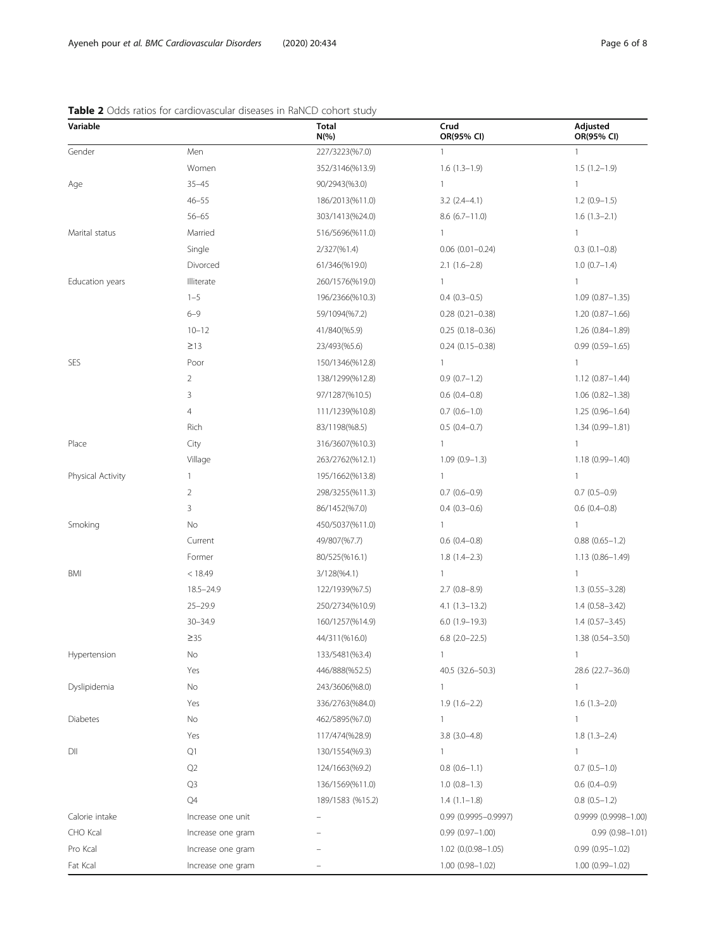| Variable          |                   | <b>Total</b><br>$N(\% )$ | Crud<br>OR(95% CI)       | Adjusted<br>OR(95% CI) |
|-------------------|-------------------|--------------------------|--------------------------|------------------------|
| Gender            | Men               | 227/3223(%7.0)           | $\mathbf{1}$             |                        |
|                   | Women             | 352/3146(%13.9)          | $1.6(1.3-1.9)$           | $1.5(1.2-1.9)$         |
| Age               | $35 - 45$         | 90/2943(%3.0)            | $\mathbf{1}$             | $\mathbf{1}$           |
|                   | $46 - 55$         | 186/2013(%11.0)          | $3.2$ (2.4-4.1)          | $1.2(0.9-1.5)$         |
|                   | $56 - 65$         | 303/1413(%24.0)          | $8.6$ (6.7-11.0)         | $1.6(1.3-2.1)$         |
| Marital status    | Married           | 516/5696(%11.0)          | $\mathbf{1}$             | $\mathbf{1}$           |
|                   | Single            | 2/327(%1.4)              | $0.06(0.01 - 0.24)$      | $0.3(0.1-0.8)$         |
|                   | Divorced          | 61/346(%19.0)            | $2.1(1.6-2.8)$           | $1.0(0.7-1.4)$         |
| Education years   | Illiterate        | 260/1576(%19.0)          | $\mathbf{1}$             | $\mathbf{1}$           |
|                   | $1 - 5$           | 196/2366(%10.3)          | $0.4(0.3-0.5)$           | $1.09(0.87 - 1.35)$    |
|                   | $6 - 9$           | 59/1094(%7.2)            | $0.28(0.21 - 0.38)$      | $1.20(0.87 - 1.66)$    |
|                   | $10 - 12$         | 41/840(%5.9)             | $0.25(0.18 - 0.36)$      | 1.26 (0.84-1.89)       |
|                   | $\geq$ 13         | 23/493(%5.6)             | $0.24$ (0.15-0.38)       | $0.99(0.59 - 1.65)$    |
| SES               | Poor              | 150/1346(%12.8)          | $\mathbf{1}$             | $\mathbf{1}$           |
|                   | $\overline{2}$    | 138/1299(%12.8)          | $0.9(0.7-1.2)$           | $1.12(0.87 - 1.44)$    |
|                   | 3                 | 97/1287(%10.5)           | $0.6(0.4 - 0.8)$         | $1.06(0.82 - 1.38)$    |
|                   | $\overline{4}$    | 111/1239(%10.8)          | $0.7$ $(0.6-1.0)$        | $1.25(0.96 - 1.64)$    |
|                   | Rich              | 83/1198(%8.5)            | $0.5(0.4-0.7)$           | 1.34 (0.99-1.81)       |
| Place             | City              | 316/3607(%10.3)          | $\mathbf{1}$             | $\mathbf{1}$           |
|                   | Village           | 263/2762(%12.1)          | $1.09(0.9-1.3)$          | $1.18(0.99 - 1.40)$    |
| Physical Activity | $\mathbf{1}$      | 195/1662(%13.8)          | $\mathbf{1}$             | $\mathbf{1}$           |
|                   | $\overline{2}$    | 298/3255(%11.3)          | $0.7(0.6-0.9)$           | $0.7(0.5-0.9)$         |
|                   | 3                 | 86/1452(%7.0)            | $0.4(0.3-0.6)$           | $0.6(0.4 - 0.8)$       |
| Smoking           | No                | 450/5037(%11.0)          | $\mathbf{1}$             | $\mathbf{1}$           |
|                   | Current           | 49/807(%7.7)             | $0.6(0.4-0.8)$           | $0.88(0.65 - 1.2)$     |
|                   | Former            | 80/525(%16.1)            | $1.8(1.4-2.3)$           | $1.13(0.86 - 1.49)$    |
| BMI               | < 18.49           | 3/128(%4.1)              | $\mathbf{1}$             | $\mathbf{1}$           |
|                   | $18.5 - 24.9$     | 122/1939(%7.5)           | $2.7(0.8-8.9)$           | $1.3(0.55 - 3.28)$     |
|                   | $25 - 29.9$       | 250/2734(%10.9)          | $4.1(1.3-13.2)$          | $1.4(0.58 - 3.42)$     |
|                   | $30 - 34.9$       | 160/1257(%14.9)          | $6.0(1.9-19.3)$          | $1.4(0.57 - 3.45)$     |
|                   | $\geq$ 35         | 44/311(%16.0)            | $6.8$ $(2.0-22.5)$       | 1.38 (0.54-3.50)       |
| Hypertension      | No                | 133/5481(%3.4)           | $\mathbf{1}$             | $\mathbf{1}$           |
|                   | Yes               | 446/888(%52.5)           | 40.5 (32.6-50.3)         | 28.6 (22.7-36.0)       |
| Dyslipidemia      | No                | 243/3606(%8.0)           | $\mathbf{1}$             | $\mathbf{1}$           |
|                   | Yes               | 336/2763(%84.0)          | $1.9(1.6-2.2)$           | $1.6(1.3-2.0)$         |
| <b>Diabetes</b>   | No                | 462/5895(%7.0)           | $\mathbf{1}$             | $\mathbf{1}$           |
|                   | Yes               | 117/474(%28.9)           | $3.8(3.0-4.8)$           | $1.8(1.3-2.4)$         |
| DII               | Q1                | 130/1554(%9.3)           | $\mathbf{1}$             | 1                      |
|                   | Q2                | 124/1663(%9.2)           | $0.8$ $(0.6-1.1)$        | $0.7(0.5-1.0)$         |
|                   | Q3                | 136/1569(%11.0)          | $1.0(0.8-1.3)$           | $0.6(0.4-0.9)$         |
|                   | Q4                | 189/1583 (%15.2)         | $1.4(1.1-1.8)$           | $0.8(0.5-1.2)$         |
| Calorie intake    | Increase one unit |                          | 0.99 (0.9995-0.9997)     | 0.9999 (0.9998-1.00)   |
| CHO Kcal          | Increase one gram |                          | $0.99$ $(0.97 - 1.00)$   | $0.99(0.98 - 1.01)$    |
| Pro Kcal          | Increase one gram |                          | $1.02$ $(0.0.98 - 1.05)$ | $0.99(0.95 - 1.02)$    |
| Fat Kcal          | Increase one gram |                          | $1.00(0.98 - 1.02)$      | $1.00(0.99 - 1.02)$    |

<span id="page-5-0"></span>

| Table 2 Odds ratios for cardiovascular diseases in RaNCD cohort study |  |  |  |  |  |
|-----------------------------------------------------------------------|--|--|--|--|--|
|-----------------------------------------------------------------------|--|--|--|--|--|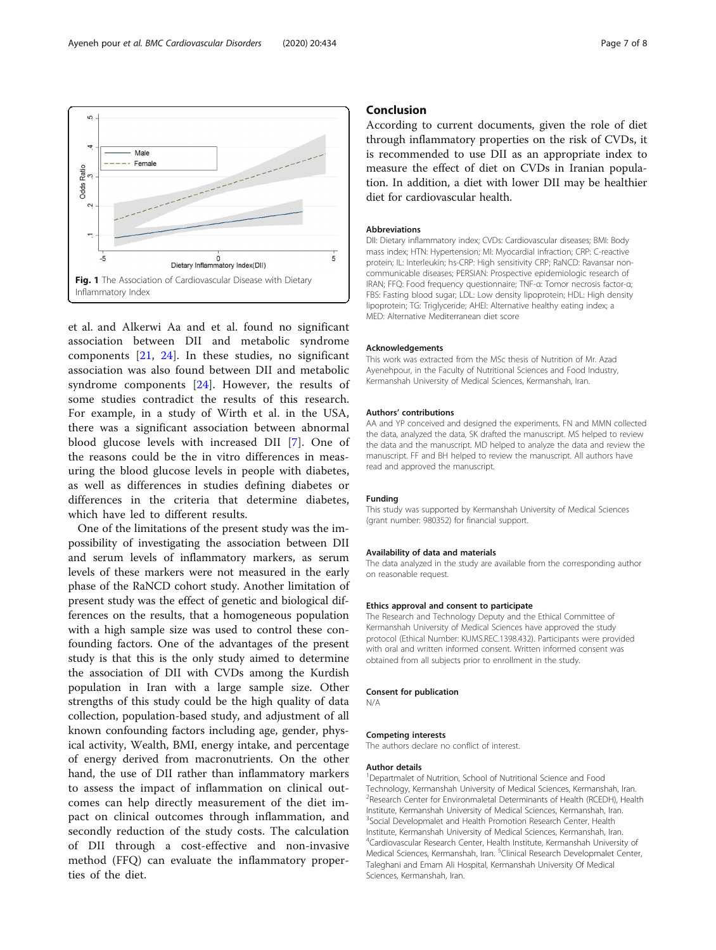et al. and Alkerwi Aa and et al. found no significant association between DII and metabolic syndrome components [\[21](#page-7-0), [24\]](#page-7-0). In these studies, no significant association was also found between DII and metabolic syndrome components [[24\]](#page-7-0). However, the results of some studies contradict the results of this research. For example, in a study of Wirth et al. in the USA, there was a significant association between abnormal blood glucose levels with increased DII [[7\]](#page-7-0). One of the reasons could be the in vitro differences in measuring the blood glucose levels in people with diabetes, as well as differences in studies defining diabetes or differences in the criteria that determine diabetes, which have led to different results.

One of the limitations of the present study was the impossibility of investigating the association between DII and serum levels of inflammatory markers, as serum levels of these markers were not measured in the early phase of the RaNCD cohort study. Another limitation of present study was the effect of genetic and biological differences on the results, that a homogeneous population with a high sample size was used to control these confounding factors. One of the advantages of the present study is that this is the only study aimed to determine the association of DII with CVDs among the Kurdish population in Iran with a large sample size. Other strengths of this study could be the high quality of data collection, population-based study, and adjustment of all known confounding factors including age, gender, physical activity, Wealth, BMI, energy intake, and percentage of energy derived from macronutrients. On the other hand, the use of DII rather than inflammatory markers to assess the impact of inflammation on clinical outcomes can help directly measurement of the diet impact on clinical outcomes through inflammation, and secondly reduction of the study costs. The calculation of DII through a cost-effective and non-invasive method (FFQ) can evaluate the inflammatory properties of the diet.

## Conclusion

According to current documents, given the role of diet through inflammatory properties on the risk of CVDs, it is recommended to use DII as an appropriate index to measure the effect of diet on CVDs in Iranian population. In addition, a diet with lower DII may be healthier diet for cardiovascular health.

#### Abbreviations

DII: Dietary inflammatory index; CVDs: Cardiovascular diseases; BMI: Body mass index; HTN: Hypertension; MI: Myocardial infraction; CRP: C-reactive protein; IL: Interleukin; hs-CRP: High sensitivity CRP; RaNCD: Ravansar noncommunicable diseases; PERSIAN: Prospective epidemiologic research of IRAN; FFQ: Food frequency questionnaire; TNF-α: Tomor necrosis factor-α; FBS: Fasting blood sugar; LDL: Low density lipoprotein; HDL: High density lipoprotein; TG: Triglyceride; AHEI: Alternative healthy eating index; a MED: Alternative Mediterranean diet score

#### Acknowledgements

This work was extracted from the MSc thesis of Nutrition of Mr. Azad Ayenehpour, in the Faculty of Nutritional Sciences and Food Industry, Kermanshah University of Medical Sciences, Kermanshah, Iran.

#### Authors' contributions

AA and YP conceived and designed the experiments. FN and MMN collected the data, analyzed the data, SK drafted the manuscript. MS helped to review the data and the manuscript. MD helped to analyze the data and review the manuscript. FF and BH helped to review the manuscript. All authors have read and approved the manuscript.

#### Funding

This study was supported by Kermanshah University of Medical Sciences (grant number: 980352) for financial support.

## Availability of data and materials

The data analyzed in the study are available from the corresponding author on reasonable request.

#### Ethics approval and consent to participate

The Research and Technology Deputy and the Ethical Committee of Kermanshah University of Medical Sciences have approved the study protocol (Ethical Number: KUMS.REC.1398.432). Participants were provided with oral and written informed consent. Written informed consent was obtained from all subjects prior to enrollment in the study.

#### Consent for publication

N/A

#### Competing interests

The authors declare no conflict of interest.

#### Author details

<sup>1</sup>Departmalet of Nutrition, School of Nutritional Science and Food Technology, Kermanshah University of Medical Sciences, Kermanshah, Iran. <sup>2</sup>Research Center for Environmaletal Determinants of Health (RCEDH), Health Institute, Kermanshah University of Medical Sciences, Kermanshah, Iran. <sup>3</sup>Social Developmalet and Health Promotion Research Center, Health Institute, Kermanshah University of Medical Sciences, Kermanshah, Iran. 4 Cardiovascular Research Center, Health Institute, Kermanshah University of Medical Sciences, Kermanshah, Iran. <sup>5</sup>Clinical Research Developmalet Center Taleghani and Emam Ali Hospital, Kermanshah University Of Medical Sciences, Kermanshah, Iran.



<span id="page-6-0"></span>